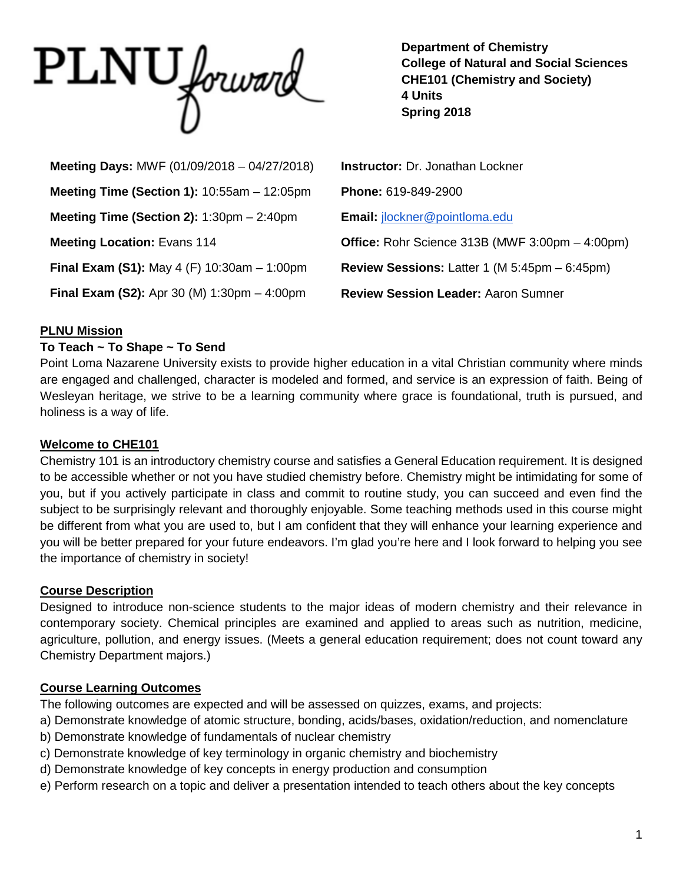PLNU forward

**Department of Chemistry College of Natural and Social Sciences CHE101 (Chemistry and Society) 4 Units Spring 2018**

| Meeting Days: MWF (01/09/2018 - 04/27/2018)                          | <b>Instructor: Dr. Jonathan Lockner</b>                                 |
|----------------------------------------------------------------------|-------------------------------------------------------------------------|
| Meeting Time (Section 1): $10:55am - 12:05pm$                        | Phone: 619-849-2900                                                     |
| Meeting Time (Section 2): $1:30 \text{pm} - 2:40 \text{pm}$          | Email: jlockner@pointloma.edu                                           |
| <b>Meeting Location: Evans 114</b>                                   | Office: Rohr Science 313B (MWF 3:00pm - 4:00pm)                         |
| <b>Final Exam (S1):</b> May 4 (F) $10:30$ am $-1:00$ pm              | <b>Review Sessions:</b> Latter 1 (M $5:45 \text{pm} - 6:45 \text{pm}$ ) |
| <b>Final Exam (S2):</b> Apr 30 (M) $1:30 \text{pm} - 4:00 \text{pm}$ | <b>Review Session Leader: Aaron Sumner</b>                              |

#### **PLNU Mission**

#### **To Teach ~ To Shape ~ To Send**

Point Loma Nazarene University exists to provide higher education in a vital Christian community where minds are engaged and challenged, character is modeled and formed, and service is an expression of faith. Being of Wesleyan heritage, we strive to be a learning community where grace is foundational, truth is pursued, and holiness is a way of life.

#### **Welcome to CHE101**

Chemistry 101 is an introductory chemistry course and satisfies a General Education requirement. It is designed to be accessible whether or not you have studied chemistry before. Chemistry might be intimidating for some of you, but if you actively participate in class and commit to routine study, you can succeed and even find the subject to be surprisingly relevant and thoroughly enjoyable. Some teaching methods used in this course might be different from what you are used to, but I am confident that they will enhance your learning experience and you will be better prepared for your future endeavors. I'm glad you're here and I look forward to helping you see the importance of chemistry in society!

#### **Course Description**

Designed to introduce non-science students to the major ideas of modern chemistry and their relevance in contemporary society. Chemical principles are examined and applied to areas such as nutrition, medicine, agriculture, pollution, and energy issues. (Meets a general education requirement; does not count toward any Chemistry Department majors.)

#### **Course Learning Outcomes**

The following outcomes are expected and will be assessed on quizzes, exams, and projects:

a) Demonstrate knowledge of atomic structure, bonding, acids/bases, oxidation/reduction, and nomenclature

- b) Demonstrate knowledge of fundamentals of nuclear chemistry
- c) Demonstrate knowledge of key terminology in organic chemistry and biochemistry
- d) Demonstrate knowledge of key concepts in energy production and consumption
- e) Perform research on a topic and deliver a presentation intended to teach others about the key concepts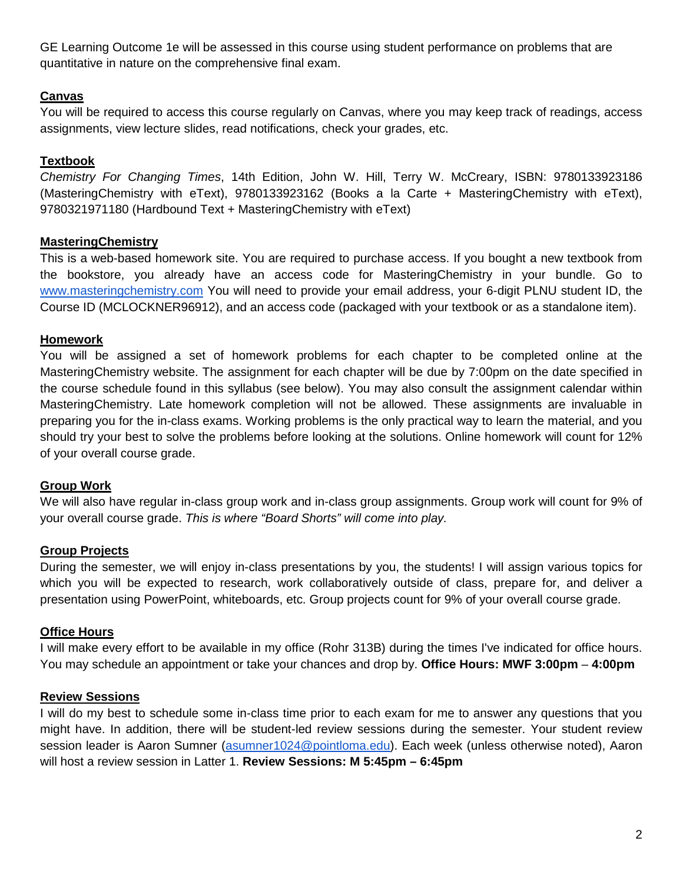GE Learning Outcome 1e will be assessed in this course using student performance on problems that are quantitative in nature on the comprehensive final exam.

## **Canvas**

You will be required to access this course regularly on Canvas, where you may keep track of readings, access assignments, view lecture slides, read notifications, check your grades, etc.

# **Textbook**

*Chemistry For Changing Times*, 14th Edition, John W. Hill, Terry W. McCreary, ISBN: 9780133923186 (MasteringChemistry with eText), 9780133923162 (Books a la Carte + MasteringChemistry with eText), 9780321971180 (Hardbound Text + MasteringChemistry with eText)

# **MasteringChemistry**

This is a web-based homework site. You are required to purchase access. If you bought a new textbook from the bookstore, you already have an access code for MasteringChemistry in your bundle. Go to [www.masteringchemistry.com](http://www.masteringchemistry.com/) You will need to provide your email address, your 6-digit PLNU student ID, the Course ID (MCLOCKNER96912), and an access code (packaged with your textbook or as a standalone item).

# **Homework**

You will be assigned a set of homework problems for each chapter to be completed online at the MasteringChemistry website. The assignment for each chapter will be due by 7:00pm on the date specified in the course schedule found in this syllabus (see below). You may also consult the assignment calendar within MasteringChemistry. Late homework completion will not be allowed. These assignments are invaluable in preparing you for the in-class exams. Working problems is the only practical way to learn the material, and you should try your best to solve the problems before looking at the solutions. Online homework will count for 12% of your overall course grade.

## **Group Work**

We will also have regular in-class group work and in-class group assignments. Group work will count for 9% of your overall course grade. *This is where "Board Shorts" will come into play.*

## **Group Projects**

During the semester, we will enjoy in-class presentations by you, the students! I will assign various topics for which you will be expected to research, work collaboratively outside of class, prepare for, and deliver a presentation using PowerPoint, whiteboards, etc. Group projects count for 9% of your overall course grade.

## **Office Hours**

I will make every effort to be available in my office (Rohr 313B) during the times I've indicated for office hours. You may schedule an appointment or take your chances and drop by. **Office Hours: MWF 3:00pm** – **4:00pm**

## **Review Sessions**

I will do my best to schedule some in-class time prior to each exam for me to answer any questions that you might have. In addition, there will be student-led review sessions during the semester. Your student review session leader is Aaron Sumner [\(asumner1024@pointloma.edu\)](mailto:asumner1024@pointloma.edu). Each week (unless otherwise noted), Aaron will host a review session in Latter 1. **Review Sessions: M 5:45pm – 6:45pm**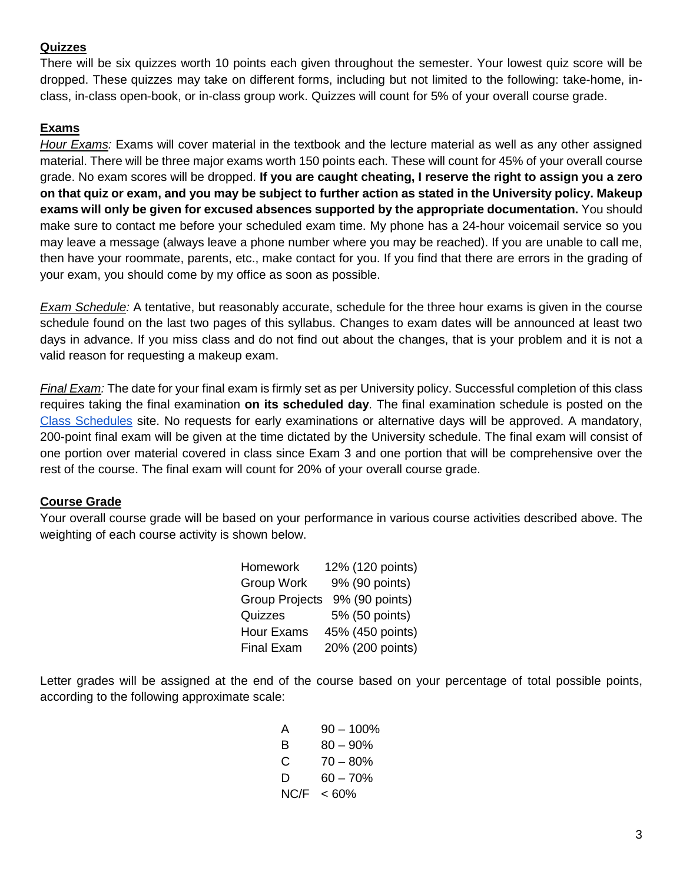#### **Quizzes**

There will be six quizzes worth 10 points each given throughout the semester. Your lowest quiz score will be dropped. These quizzes may take on different forms, including but not limited to the following: take-home, inclass, in-class open-book, or in-class group work. Quizzes will count for 5% of your overall course grade.

## **Exams**

*Hour Exams:* Exams will cover material in the textbook and the lecture material as well as any other assigned material. There will be three major exams worth 150 points each. These will count for 45% of your overall course grade. No exam scores will be dropped. **If you are caught cheating, I reserve the right to assign you a zero on that quiz or exam, and you may be subject to further action as stated in the University policy. Makeup exams will only be given for excused absences supported by the appropriate documentation.** You should make sure to contact me before your scheduled exam time. My phone has a 24-hour voicemail service so you may leave a message (always leave a phone number where you may be reached). If you are unable to call me, then have your roommate, parents, etc., make contact for you. If you find that there are errors in the grading of your exam, you should come by my office as soon as possible.

*Exam Schedule:* A tentative, but reasonably accurate, schedule for the three hour exams is given in the course schedule found on the last two pages of this syllabus. Changes to exam dates will be announced at least two days in advance. If you miss class and do not find out about the changes, that is your problem and it is not a valid reason for requesting a makeup exam.

*Final Exam:* The date for your final exam is firmly set as per University policy. Successful completion of this class requires taking the final examination **on its scheduled day**. The final examination schedule is posted on the [Class Schedules](https://drive.google.com/file/d/0B_GGaV-aJW1SWnVNSzMwM2dJZXc/view) site. No requests for early examinations or alternative days will be approved. A mandatory, 200-point final exam will be given at the time dictated by the University schedule. The final exam will consist of one portion over material covered in class since Exam 3 and one portion that will be comprehensive over the rest of the course. The final exam will count for 20% of your overall course grade.

## **Course Grade**

Your overall course grade will be based on your performance in various course activities described above. The weighting of each course activity is shown below.

| Homework              | 12% (120 points) |
|-----------------------|------------------|
| <b>Group Work</b>     | 9% (90 points)   |
| <b>Group Projects</b> | 9% (90 points)   |
| Quizzes               | 5% (50 points)   |
| <b>Hour Exams</b>     | 45% (450 points) |
| <b>Final Exam</b>     | 20% (200 points) |

Letter grades will be assigned at the end of the course based on your percentage of total possible points, according to the following approximate scale:

| A    | $90 - 100\%$ |
|------|--------------|
| в    | $80 - 90\%$  |
| C    | $70 - 80%$   |
| D    | $60 - 70%$   |
| NC/F | $< 60\%$     |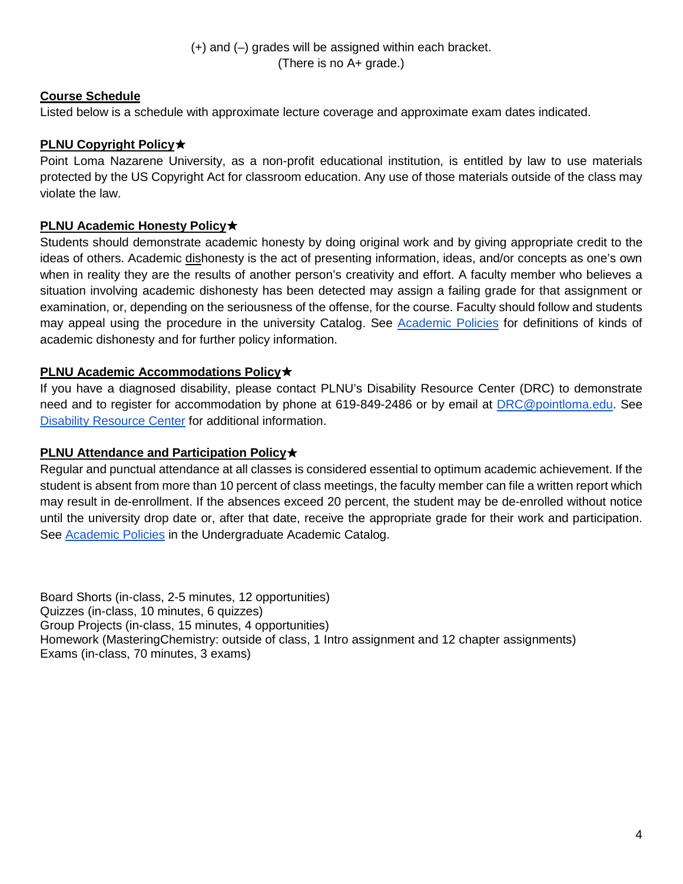(+) and (–) grades will be assigned within each bracket. (There is no A+ grade.)

## **Course Schedule**

Listed below is a schedule with approximate lecture coverage and approximate exam dates indicated.

## **PLNU Copyright Policy** $\star$

Point Loma Nazarene University, as a non-profit educational institution, is entitled by law to use materials protected by the US Copyright Act for classroom education. Any use of those materials outside of the class may violate the law.

#### **PLNU Academic Honesty Policy**✭

Students should demonstrate academic honesty by doing original work and by giving appropriate credit to the ideas of others. Academic dishonesty is the act of presenting information, ideas, and/or concepts as one's own when in reality they are the results of another person's creativity and effort. A faculty member who believes a situation involving academic dishonesty has been detected may assign a failing grade for that assignment or examination, or, depending on the seriousness of the offense, for the course. Faculty should follow and students may appeal using the procedure in the university Catalog. See [Academic Policies](https://catalog.pointloma.edu/content.php?catoid=18&navoid=1278#Academic_Honesty) for definitions of kinds of academic dishonesty and for further policy information.

#### **PLNU Academic Accommodations Policy**✭

If you have a diagnosed disability, please contact PLNU's Disability Resource Center (DRC) to demonstrate need and to register for accommodation by phone at 619-849-2486 or by email at **DRC@pointloma.edu.** See [Disability Resource Center](https://www.pointloma.edu/offices/disability-resource-center) for additional information.

#### **PLNU Attendance and Participation Policy**★

Regular and punctual attendance at all classes is considered essential to optimum academic achievement. If the student is absent from more than 10 percent of class meetings, the faculty member can file a written report which may result in de-enrollment. If the absences exceed 20 percent, the student may be de-enrolled without notice until the university drop date or, after that date, receive the appropriate grade for their work and participation. See [Academic Policies](https://catalog.pointloma.edu/content.php?catoid=28&navoid=1761#Class_Attendance) in the Undergraduate Academic Catalog.

Board Shorts (in-class, 2-5 minutes, 12 opportunities) Quizzes (in-class, 10 minutes, 6 quizzes) Group Projects (in-class, 15 minutes, 4 opportunities) Homework (MasteringChemistry: outside of class, 1 Intro assignment and 12 chapter assignments) Exams (in-class, 70 minutes, 3 exams)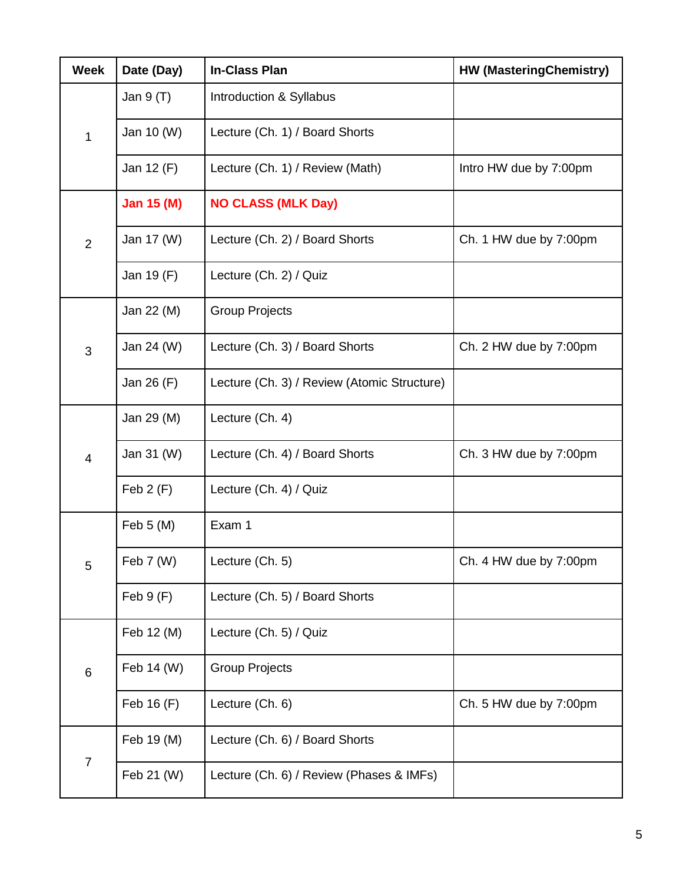| <b>Week</b>    | Date (Day)        | <b>In-Class Plan</b>                        | <b>HW (MasteringChemistry)</b> |
|----------------|-------------------|---------------------------------------------|--------------------------------|
| 1              | Jan 9 (T)         | Introduction & Syllabus                     |                                |
|                | Jan 10 (W)        | Lecture (Ch. 1) / Board Shorts              |                                |
|                | Jan 12 (F)        | Lecture (Ch. 1) / Review (Math)             | Intro HW due by 7:00pm         |
| $\overline{2}$ | <b>Jan 15 (M)</b> | <b>NO CLASS (MLK Day)</b>                   |                                |
|                | Jan 17 (W)        | Lecture (Ch. 2) / Board Shorts              | Ch. 1 HW due by 7:00pm         |
|                | Jan 19 (F)        | Lecture (Ch. 2) / Quiz                      |                                |
|                | Jan 22 (M)        | <b>Group Projects</b>                       |                                |
| 3              | Jan 24 (W)        | Lecture (Ch. 3) / Board Shorts              | Ch. 2 HW due by 7:00pm         |
|                | Jan 26 (F)        | Lecture (Ch. 3) / Review (Atomic Structure) |                                |
| $\overline{4}$ | Jan 29 (M)        | Lecture (Ch. 4)                             |                                |
|                | Jan 31 (W)        | Lecture (Ch. 4) / Board Shorts              | Ch. 3 HW due by 7:00pm         |
|                | Feb $2(F)$        | Lecture (Ch. 4) / Quiz                      |                                |
|                | Feb 5 (M)         | Exam 1                                      |                                |
| 5              | Feb 7 (W)         | Lecture (Ch. 5)                             | Ch. 4 HW due by 7:00pm         |
|                | Feb 9(F)          | Lecture (Ch. 5) / Board Shorts              |                                |
| $6\phantom{1}$ | Feb 12 (M)        | Lecture (Ch. 5) / Quiz                      |                                |
|                | Feb 14 (W)        | <b>Group Projects</b>                       |                                |
|                | Feb 16 (F)        | Lecture (Ch. 6)                             | Ch. 5 HW due by 7:00pm         |
|                | Feb 19 (M)        | Lecture (Ch. 6) / Board Shorts              |                                |
| $\overline{7}$ | Feb 21 (W)        | Lecture (Ch. 6) / Review (Phases & IMFs)    |                                |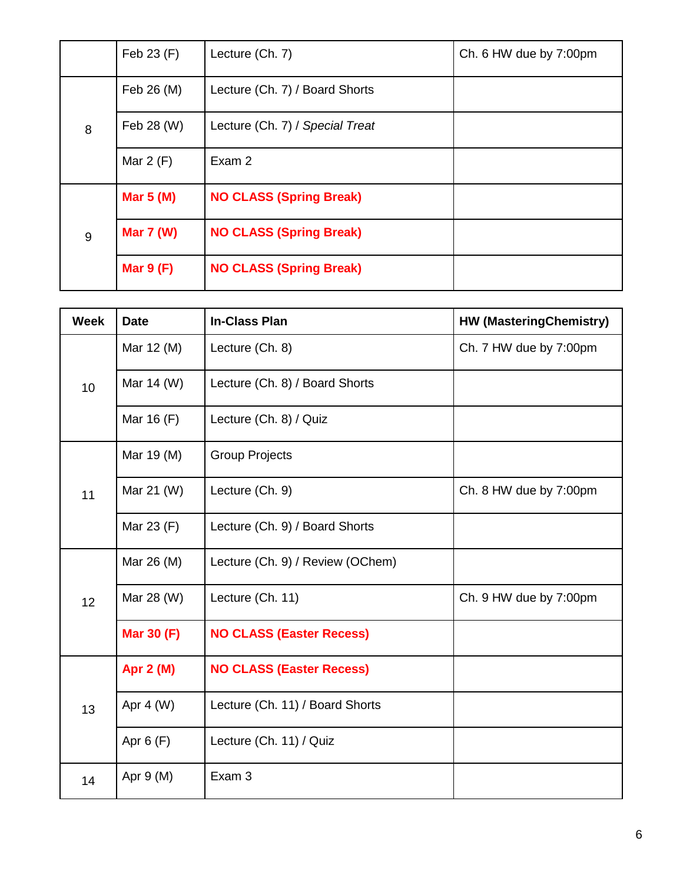|   | Feb 23 (F)       | Lecture (Ch. 7)                 | Ch. 6 HW due by 7:00pm |
|---|------------------|---------------------------------|------------------------|
| 8 | Feb 26 (M)       | Lecture (Ch. 7) / Board Shorts  |                        |
|   | Feb 28 (W)       | Lecture (Ch. 7) / Special Treat |                        |
|   | Mar $2(F)$       | Exam 2                          |                        |
|   | Mar $5(M)$       | <b>NO CLASS (Spring Break)</b>  |                        |
| 9 | <b>Mar 7 (W)</b> | <b>NO CLASS (Spring Break)</b>  |                        |
|   | Mar $9(F)$       | <b>NO CLASS (Spring Break)</b>  |                        |

| <b>Week</b> | <b>Date</b>       | <b>In-Class Plan</b>             | <b>HW (MasteringChemistry)</b> |
|-------------|-------------------|----------------------------------|--------------------------------|
| 10          | Mar 12 (M)        | Lecture (Ch. 8)                  | Ch. 7 HW due by 7:00pm         |
|             | Mar 14 (W)        | Lecture (Ch. 8) / Board Shorts   |                                |
|             | Mar 16 (F)        | Lecture (Ch. 8) / Quiz           |                                |
| 11          | Mar 19 (M)        | <b>Group Projects</b>            |                                |
|             | Mar 21 (W)        | Lecture (Ch. 9)                  | Ch. 8 HW due by 7:00pm         |
|             | Mar 23 (F)        | Lecture (Ch. 9) / Board Shorts   |                                |
| 12          | Mar 26 (M)        | Lecture (Ch. 9) / Review (OChem) |                                |
|             | Mar 28 (W)        | Lecture (Ch. 11)                 | Ch. 9 HW due by 7:00pm         |
|             | <b>Mar 30 (F)</b> | <b>NO CLASS (Easter Recess)</b>  |                                |
|             | <b>Apr 2 (M)</b>  | <b>NO CLASS (Easter Recess)</b>  |                                |
| 13          | Apr $4 (W)$       | Lecture (Ch. 11) / Board Shorts  |                                |
|             | Apr $6(F)$        | Lecture (Ch. 11) / Quiz          |                                |
| 14          | Apr 9 (M)         | Exam 3                           |                                |